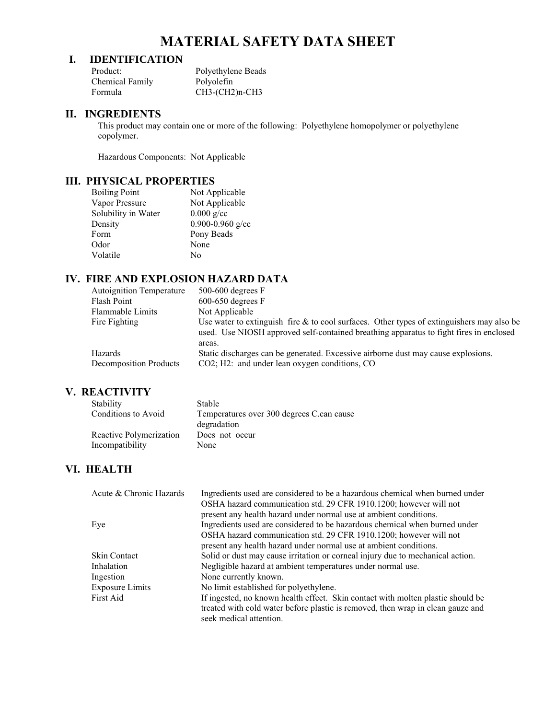# **MATERIAL SAFETY DATA SHEET**

## **I. IDENTIFICATION**

| Product:        | Polyethylene Beads |
|-----------------|--------------------|
| Chemical Family | Polyolefin         |
| Formula         | $CH3-(CH2)n-CH3$   |

#### **II. INGREDIENTS**

This product may contain one or more of the following: Polyethylene homopolymer or polyethylene copolymer.

Hazardous Components: Not Applicable

#### **III. PHYSICAL PROPERTIES**

| <b>Boiling Point</b> | Not Applicable       |
|----------------------|----------------------|
| Vapor Pressure       | Not Applicable       |
| Solubility in Water  | $0.000 \text{ g/cc}$ |
| Density              | 0.900-0.960 g/cc     |
| Form                 | Pony Beads           |
| Odor                 | None                 |
| Volatile             | No                   |
|                      |                      |

# **IV. FIRE AND EXPLOSION HAZARD DATA**

| <b>Autoignition Temperature</b> | $500-600$ degrees F                                                                                                                                                                    |
|---------------------------------|----------------------------------------------------------------------------------------------------------------------------------------------------------------------------------------|
| Flash Point                     | $600-650$ degrees F                                                                                                                                                                    |
| Flammable Limits                | Not Applicable                                                                                                                                                                         |
| Fire Fighting                   | Use water to extinguish fire $\&$ to cool surfaces. Other types of extinguishers may also be<br>used. Use NIOSH approved self-contained breathing apparatus to fight fires in enclosed |
| <b>Hazards</b>                  | areas.<br>Static discharges can be generated. Excessive airborne dust may cause explosions.                                                                                            |
| Decomposition Products          | CO2; H2: and under lean oxygen conditions, CO                                                                                                                                          |

#### **V. REACTIVITY**

| Stability               | Stable                                    |
|-------------------------|-------------------------------------------|
| Conditions to Avoid     | Temperatures over 300 degrees C.can cause |
|                         | degradation                               |
| Reactive Polymerization | Does not occur                            |
| Incompatibility         | None                                      |

# **VI. HEALTH**

| Acute & Chronic Hazards | Ingredients used are considered to be a hazardous chemical when burned under    |
|-------------------------|---------------------------------------------------------------------------------|
|                         | OSHA hazard communication std. 29 CFR 1910.1200; however will not               |
|                         | present any health hazard under normal use at ambient conditions.               |
| Eye                     | Ingredients used are considered to be hazardous chemical when burned under      |
|                         | OSHA hazard communication std. 29 CFR 1910.1200; however will not               |
|                         | present any health hazard under normal use at ambient conditions.               |
| <b>Skin Contact</b>     | Solid or dust may cause irritation or corneal injury due to mechanical action.  |
| Inhalation              | Negligible hazard at ambient temperatures under normal use.                     |
| Ingestion               | None currently known.                                                           |
| <b>Exposure Limits</b>  | No limit established for polyethylene.                                          |
| First Aid               | If ingested, no known health effect. Skin contact with molten plastic should be |
|                         | treated with cold water before plastic is removed, then wrap in clean gauze and |
|                         | seek medical attention.                                                         |
|                         |                                                                                 |